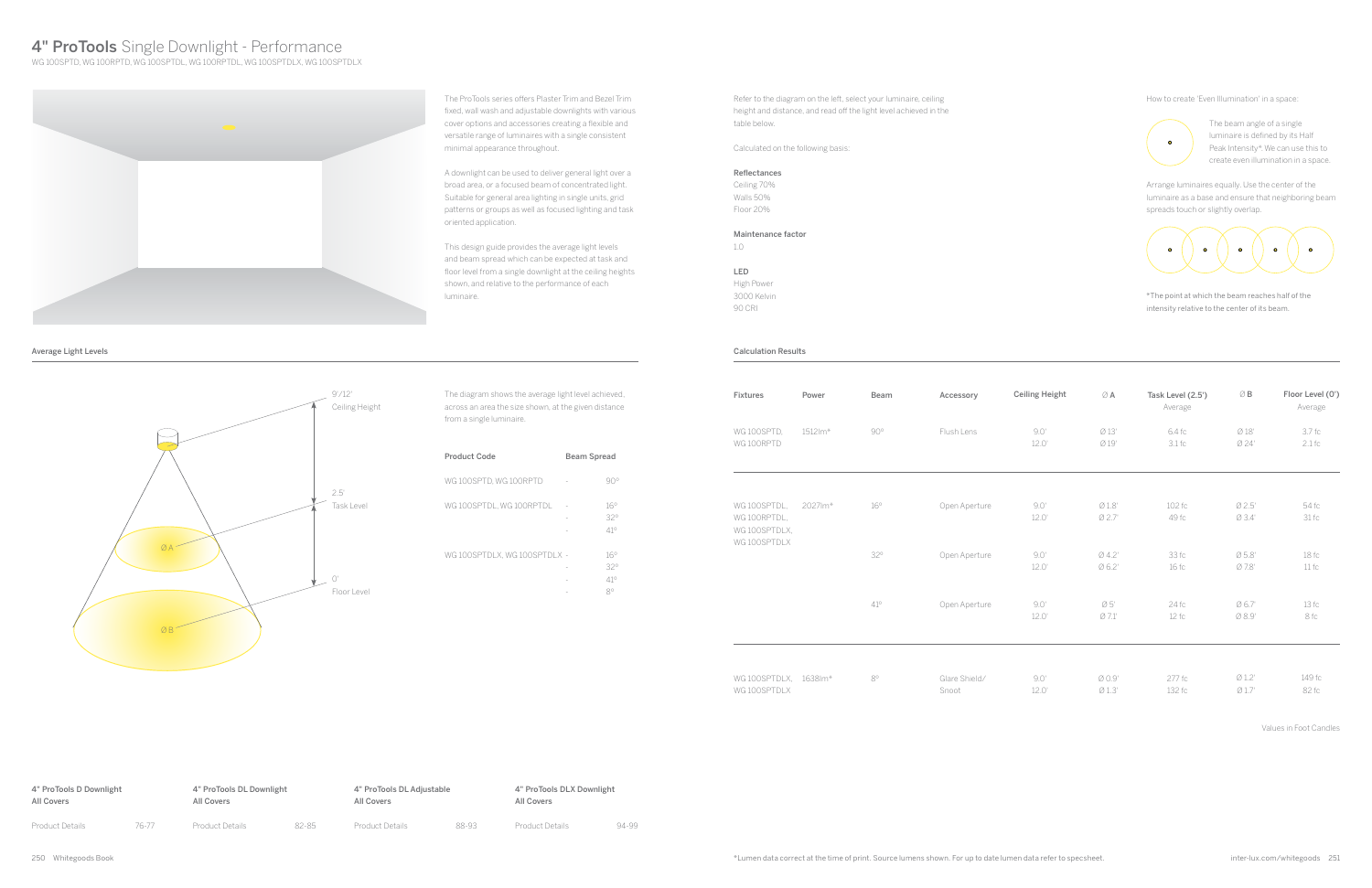The ProTools series offers Plaster Trim and Bezel Trim fixed, wall wash and adjustable downlights with various cover options and accessories creating a flexible and versatile range of luminaires with a single consistent minimal appearance throughout.

A downlight can be used to deliver general light over a broad area, or a focused beam of concentrated light. Suitable for general area lighting in single units, grid patterns or groups as well as focused lighting and task oriented application.

This design guide provides the average light levels and beam spread which can be expected at task and floor level from a single downlight at the ceiling heights shown, and relative to the performance of each luminaire.

Refer to the diagram on the left, select your luminaire, ceiling height and distance, and read off the light level achieved in the table below.

Calculated on the following basis:

#### Reflectances

Ceiling 70% Walls 50% Floor 20%

Maintenance factor

1.0

LED

High Power 3000 Kelvin 90 CRI

The diagram shows the average light level achieved, across an area the size shown, at the given distance from a single luminaire.

| Product Code                 |                | <b>Beam Spread</b>                           |  |
|------------------------------|----------------|----------------------------------------------|--|
| WG 100SPTD. WG 100RPTD       |                | Y( )°                                        |  |
| WG 100SPTDL, WG 100RPTDL     | $\overline{a}$ | $16^\circ$<br>32°<br>41°                     |  |
| WG 100SPTDLX, WG 100SPTDLX - |                | $16^\circ$<br>32°<br>$41^\circ$<br>$8^\circ$ |  |

4" ProTools D Downlight All Covers Product Details 76-77 4" ProTools DL Downlight All Covers Product Details 82-85 4" ProTools DLX Downlight All Covers Product Details 94-99 4" ProTools DL Adjustable All Covers Product Details 88-93



Average Light Levels Calculation Results

250 Whitegoods Book inter-lux.com/whitegoods 251 \*Lumen data correct at the time of print. Source lumens shown. For up to date lumen data refer to specsheet.

# 4" ProTools Single Downlight - Performance

WG 100SPTD, WG 100RPTD, WG 100SPTDL, WG 100RPTDL, WG 100SPTDLX, WG 100SPTDLX



| Fixtures                                                      | Power   | Beam        | Accessory              | <b>Ceiling Height</b> | ØA              | Task Level (2.5')<br>Average | $\oslash$ B      | Floor Level (0')<br>Average |
|---------------------------------------------------------------|---------|-------------|------------------------|-----------------------|-----------------|------------------------------|------------------|-----------------------------|
| WG 100SPTD,<br>WG 100RPTD                                     | 1512lm* | $90^\circ$  | Flush Lens             | 9.0'<br>12.0'         | Ø13'<br>Ø 19'   | 6.4 fc<br>3.1 f <sub>C</sub> | Ø18'<br>Ø 24'    | 3.7 fc<br>$2.1$ fc          |
| WG 100SPTDL,<br>WG 100RPTDL,<br>WG 100SPTDLX,<br>WG 100SPTDLX | 2027lm* | 16°         | Open Aperture          | 9.0'<br>12.0'         | Ø1.8'<br>Ø 2.7' | 102 fc<br>49 fc              | Ø 2.5'<br>Ø 3.4' | 54 fc<br>31fc               |
|                                                               |         | 32°         | Open Aperture          | 9.0'<br>12.0'         | Ø4.2'<br>Ø 6.2' | 33 fc<br>16 fc               | Ø5.8'<br>Ø 7.8'  | 18f <sub>c</sub><br>11fc    |
|                                                               |         | $41^\circ$  | Open Aperture          | 9.0'<br>12.0'         | Ø5'<br>Ø 7.1'   | 24 fc<br>12fc                | Ø 6.7'<br>Ø 8.9' | 13fc<br>8 fc                |
| WG 100SPTDLX, 1638Im*<br>WG 100SPTDLX                         |         | $8^{\circ}$ | Glare Shield/<br>Snoot | 9.0'<br>12.0'         | Ø 0.9'<br>Ø1.3' | 277 fc<br>132 fc             | Ø1.2'<br>Ø 1.7'  | 149 fc<br>82 fc             |

| WG 100SPTDLX. 1638Im* | QΟ | Glare Shield/ |
|-----------------------|----|---------------|
| WG 100SPTDLX          |    | Snoot         |

The beam angle of a single luminaire is defined by its Half Peak Intensity\*. We can use this to create even illumination in a space.

Arrange luminaires equally. Use the center of the luminaire as a base and ensure that neighboring beam spreads touch or slightly overlap.



How to create 'Even Illumination' in a space:



\*The point at which the beam reaches half of the intensity relative to the center of its beam.

Values in Foot Candles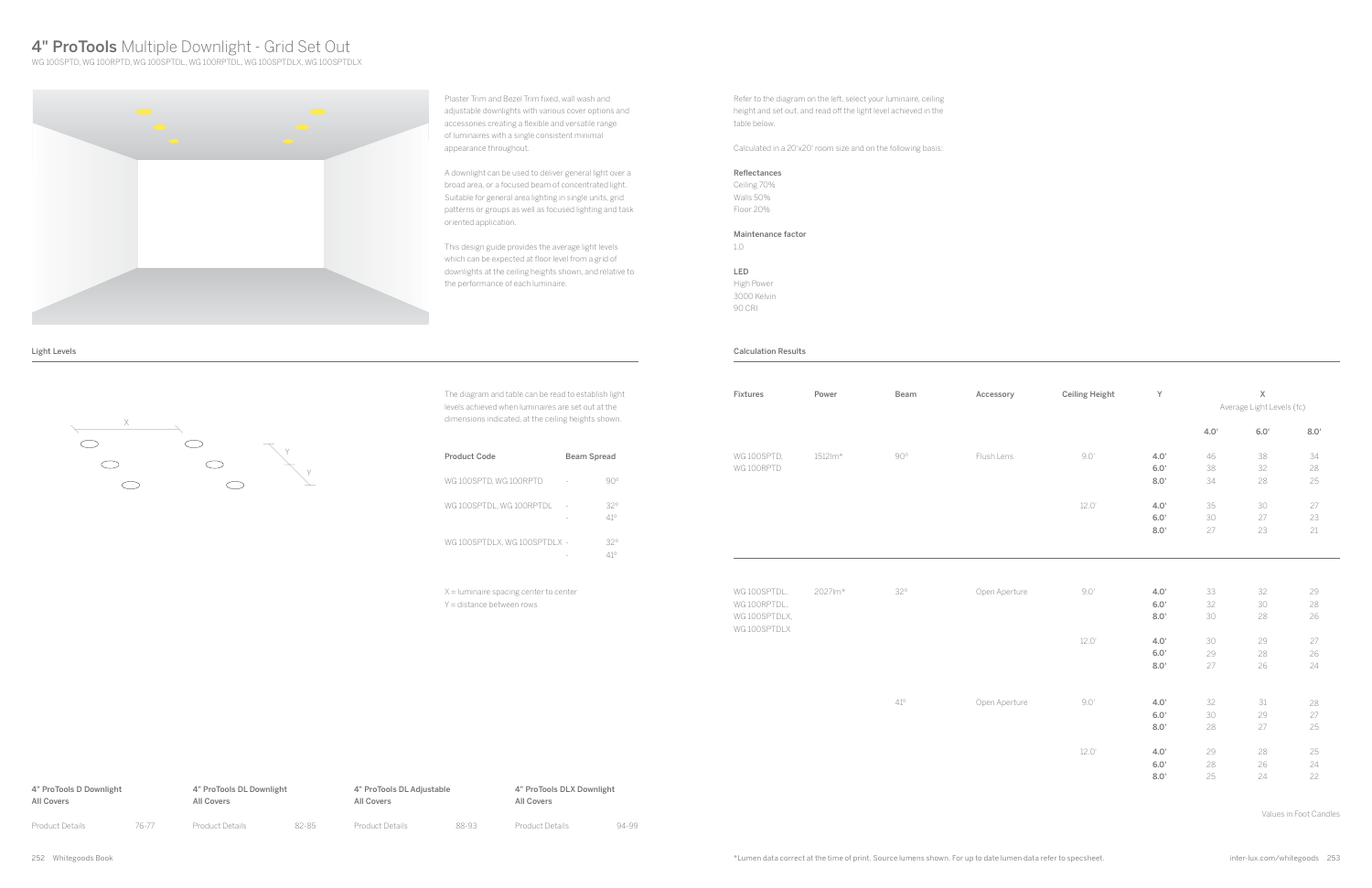

Light Levels

Plaster Trim and Bezel Trim fixed, wall wash and adjustable downlights with various cover options and accessories creating a flexible and versatile range of luminaires with a single consistent minimal appearance throughout.

A downlight can be used to deliver general light over a broad area, or a focused beam of concentrated light. Suitable for general area lighting in single units, grid patterns or groups as well as focused lighting and task oriented application.

This design guide provides the average light levels which can be expected at floor level from a grid of downlights at the ceiling heights shown, and relative to the performance of each luminaire.

The diagram and table can be read to establish light levels achieved when luminaires are set out at the dimensions indicated, at the ceiling heights shown.

| Product Code                  | Beam Spread |            |
|-------------------------------|-------------|------------|
| WG 100SPTD. WG 100RPTD        |             |            |
| WG 100SPTDL, WG 100RPTDL      |             | 32°<br>41° |
| WG 100SPTDLX. WG 100SPTDLX  - |             | 320        |

X = luminaire spacing center to center Y = distance between rows

# 4" ProTools Multiple Downlight - Grid Set Out

WG 100SPTD, WG 100RPTD, WG 100SPTDL, WG 100RPTDL, WG 100SPTDLX, WG 100SPTDLX



Refer to the diagram on the left, select your luminaire, ceiling height and set out, and read off the light level achieved in the table below.

Calculated in a 20'x20' room size and on the following basis:

### Reflectances

Ceiling 70% Walls 50% Floor 20%

### Maintenance factor

1.0

LED High Power 3000 Kelvin 90 CRI

#### Calculation Results

| Fixtures                                     | Power   | Beam         | Accessory     | <b>Ceiling Height</b> | Y                             | $\mathsf X$<br>Average Light Levels (fc) |                    |                    |
|----------------------------------------------|---------|--------------|---------------|-----------------------|-------------------------------|------------------------------------------|--------------------|--------------------|
|                                              |         |              |               |                       |                               | 4.0'                                     | 6.0'               | 8.0'               |
| WG 100SPTD.                                  | 1512lm* | $90^{\circ}$ | Flush Lens    | 9.0'                  | 4.0'                          | 46                                       | 38                 | 34                 |
| WG 100RPTD                                   |         |              |               |                       | $6.0'$                        | 38                                       | 32                 | 28                 |
|                                              |         |              |               |                       | 8.0'                          | 34                                       | 28                 | 25                 |
|                                              |         |              |               | 12.0'                 | 4.0'                          | 35                                       | 30                 | 27                 |
|                                              |         |              |               |                       | 6.0'                          | 30                                       | 27                 | 23                 |
|                                              |         |              |               |                       | 8.0'                          | 27                                       | 23                 | 21                 |
| WG100SPTDL,<br>WG 100RPTDL,<br>WG 100SPTDLX, | 2027lm* | $32^{\circ}$ | Open Aperture | $9.0^\circ$           | 4.0'<br>$6.0^{\circ}$<br>8.0' | 33<br>32<br>30                           | 32<br>30<br>28     | 29<br>$28\,$<br>26 |
| WG 100SPTDLX                                 |         |              |               | $12.0^{\circ}$        | 4.0'<br>6.0'<br>8.0'          | 30<br>29<br>27                           | 29<br>28<br>26     | 27<br>26<br>24     |
|                                              |         | $41^\circ$   | Open Aperture | 9.0'                  | 4.0'<br>6.0'<br>8.0'          | 32<br>30<br>28                           | $31\,$<br>29<br>27 | 28<br>27<br>25     |
|                                              |         |              |               | $12.0^{\circ}$        | 4.0'<br>6.0'                  | 29<br>28                                 | 28<br>26           | 25<br>24           |
|                                              |         |              |               |                       | 8.0'                          | 25                                       | 24                 | 22                 |

| Fixtures                      | Power   | Beam         | Accessory     | <b>Ceiling Height</b> | Y            | $\mathsf X$<br>Average Light Levels (fc) |          |          |  |
|-------------------------------|---------|--------------|---------------|-----------------------|--------------|------------------------------------------|----------|----------|--|
|                               |         |              |               |                       |              | 4.0'                                     | 6.0'     | 8.0'     |  |
| WG 100SPTD,                   | 1512lm* | $90^{\circ}$ | Flush Lens    | $9.0^{\circ}$         | 4.0'         | 46                                       | 38       | 34       |  |
| WG 100RPTD                    |         |              |               |                       | 6.0'         | 38                                       | 32       | 28       |  |
|                               |         |              |               |                       | 8.0'         | 34                                       | 28       | 25       |  |
|                               |         |              |               | $12.0^{\circ}$        | 4.0'         | 35                                       | 30       | 27       |  |
|                               |         |              |               |                       | 6.0'         | 30                                       | 27       | 23       |  |
|                               |         |              |               |                       | 8.0'         | $27\,$                                   | 23       | $21\,$   |  |
| WG 100SPTDL,                  | 2027lm* | $32^{\circ}$ | Open Aperture | $9.0^{\circ}$         | 4.0'         | 33                                       | 32       | 29       |  |
| WG 100RPTDL,<br>WG 100SPTDLX, |         |              |               |                       | 6.0'<br>8.0' | 32<br>30                                 | 30<br>28 | 28<br>26 |  |
| WG 100SPTDLX                  |         |              |               | $12.0^{\circ}$        | 4.0'<br>6.0' | 30<br>29                                 | 29<br>28 | 27<br>26 |  |
|                               |         |              |               |                       | 8.0'         | 27                                       | 26       | 24       |  |
|                               |         |              |               |                       |              |                                          |          |          |  |
|                               |         | $41^{\circ}$ | Open Aperture | 9.0'                  | 4.0'         | 32                                       | 31       | $28\,$   |  |
|                               |         |              |               |                       | 6.0'         | 30                                       | 29       | $27\,$   |  |
|                               |         |              |               |                       | 8.0'         | 28                                       | 27       | 25       |  |
|                               |         |              |               | 12.0'                 | 4.0'         | 29                                       | 28       | 25       |  |
|                               |         |              |               |                       | 6.0'         | 28                                       | 26       | 24       |  |
|                               |         |              |               |                       | 8.0'         | 25                                       | 24       | 22       |  |

Values in Foot Candles

| 4" ProTools D Downlight |       | 4" ProTools DL Downlight |       | 4" ProTools DL Adjustable |       | 4" ProTools DLX Downlight |       |
|-------------------------|-------|--------------------------|-------|---------------------------|-------|---------------------------|-------|
| All Covers              |       | All Covers               |       | All Covers                |       | All Covers                |       |
| Product Details         | 76-77 | <b>Product Details</b>   | 82-85 | <b>Product Details</b>    | 88-93 | <b>Product Details</b>    | 94-99 |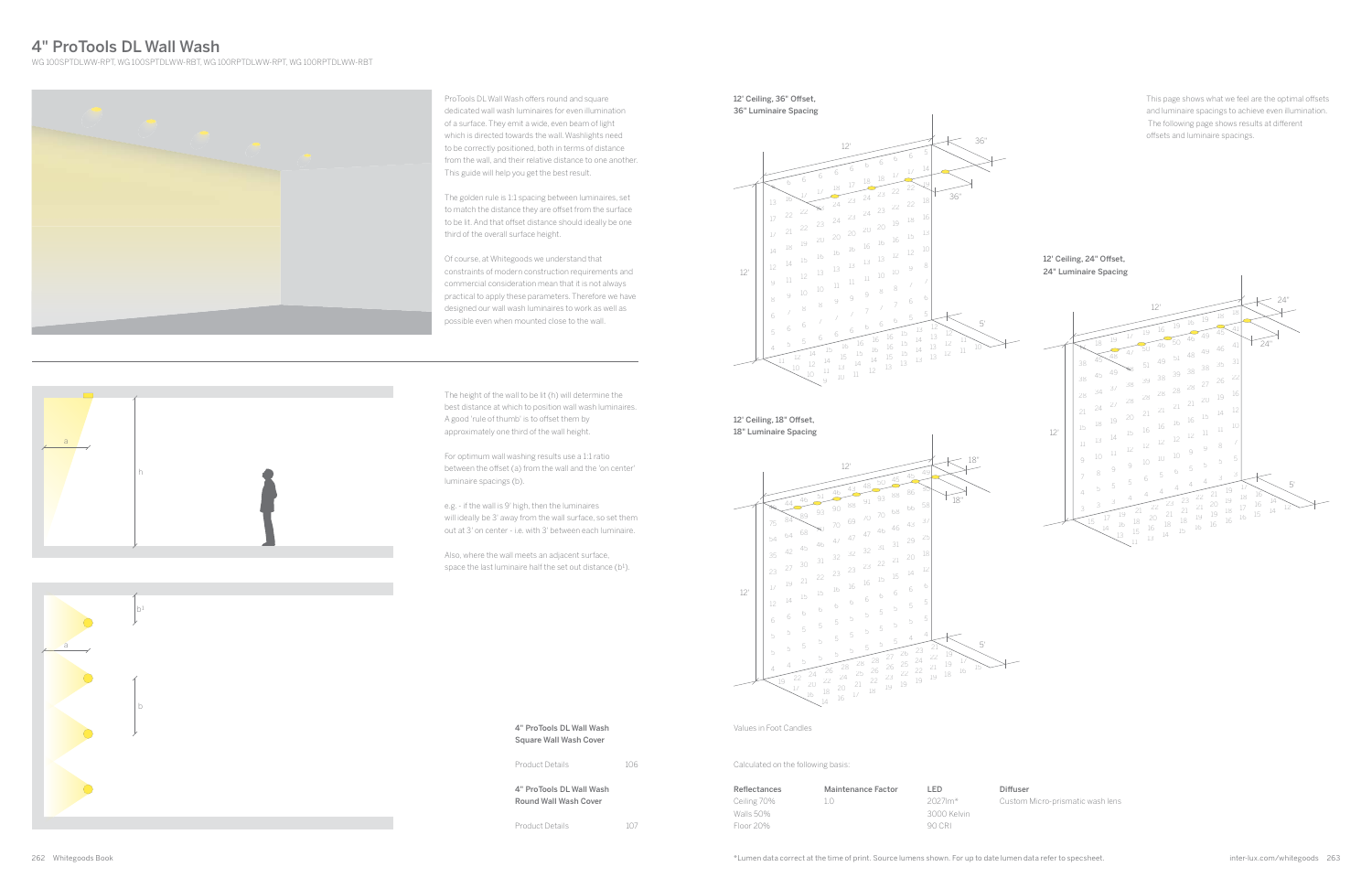4" ProTools DL Wall Wash Square Wall Wash Cover

4" ProTools DL Wall Wash Round Wall Wash Cover

Product Details 106

Product Details 107

## 4" ProTools DL Wall Wash

WG 100SPTDLWW-RPT, WG 100SPTDLWW-RBT, WG 100RPTDLWW-RPT, WG 100RPTDLWW-RBT



ProTools DL Wall Wash offers round and square dedicated wall wash luminaires for even illumination of a surface. They emit a wide, even beam of light which is directed towards the wall. Washlights need to be correctly positioned, both in terms of distance from the wall, and their relative distance to one another. This guide will help you get the best result.

The golden rule is 1:1 spacing between luminaires, set to match the distance they are offset from the surface to be lit. And that offset distance should ideally be one third of the overall surface height.

Also, where the wall meets an adjacent surface, space the last luminaire half the set out distance (b<sup>1</sup>).

Of course, at Whitegoods we understand that constraints of modern construction requirements and commercial consideration mean that it is not always practical to apply these parameters. Therefore we have designed our wall wash luminaires to work as well as possible even when mounted close to the wall.

12' Ceiling, 36" Offset, 36" Luminaire Spacing



12' Ceiling, 18" Offset, 18" Luminaire Spacing

The height of the wall to be lit (h) will determine the best distance at which to position wall wash luminaires. A good 'rule of thumb' is to offset them by approximately one third of the wall height.

For optimum wall washing results use a 1:1 ratio between the offset (a) from the wall and the 'on center' luminaire spacings (b).

### 12' Ceiling, 24" Offset, 24" Luminaire Spacing

iffuser

ustom Micro-prismatic wash lens

e.g. - if the wall is 9' high, then the luminaires will ideally be 3' away from the wall surface, so set them out at 3' on center - i.e. with 3' between each luminaire.

This page shows what we feel are the optimal offsets and luminaire spacings to achieve even illumination. The following page shows results at different offsets and luminaire spacings.

h a







| Di |
|----|
| Cт |
|    |
|    |
|    |

Calculated on the following basis:

Values in Foot Candles